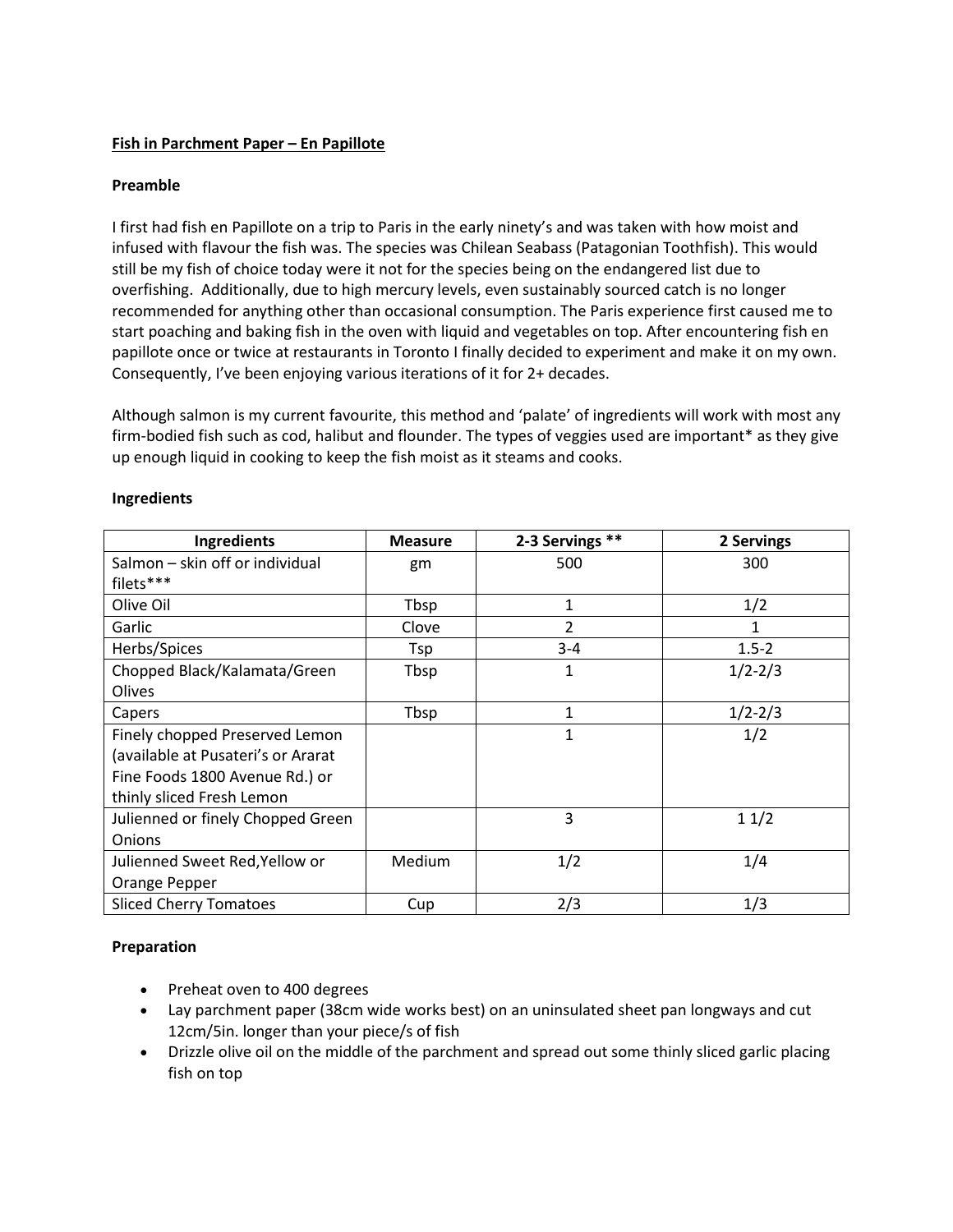# **Fish in Parchment Paper – En Papillote**

## **Preamble**

I first had fish en Papillote on a trip to Paris in the early ninety's and was taken with how moist and infused with flavour the fish was. The species was Chilean Seabass (Patagonian Toothfish). This would still be my fish of choice today were it not for the species being on the endangered list due to overfishing. Additionally, due to high mercury levels, even sustainably sourced catch is no longer recommended for anything other than occasional consumption. The Paris experience first caused me to start poaching and baking fish in the oven with liquid and vegetables on top. After encountering fish en papillote once or twice at restaurants in Toronto I finally decided to experiment and make it on my own. Consequently, I've been enjoying various iterations of it for 2+ decades.

Although salmon is my current favourite, this method and 'palate' of ingredients will work with most any firm-bodied fish such as cod, halibut and flounder. The types of veggies used are important\* as they give up enough liquid in cooking to keep the fish moist as it steams and cooks.

| Ingredients                        | <b>Measure</b> | 2-3 Servings ** | 2 Servings  |
|------------------------------------|----------------|-----------------|-------------|
| Salmon – skin off or individual    | gm             | 500             | 300         |
| filets***                          |                |                 |             |
| Olive Oil                          | Tbsp           | 1               | 1/2         |
| Garlic                             | Clove          | $\overline{2}$  |             |
| Herbs/Spices                       | Tsp            | $3 - 4$         | $1.5 - 2$   |
| Chopped Black/Kalamata/Green       | Tbsp           | 1               | $1/2 - 2/3$ |
| Olives                             |                |                 |             |
| Capers                             | Tbsp           | 1               | $1/2 - 2/3$ |
| Finely chopped Preserved Lemon     |                | $\mathbf{1}$    | 1/2         |
| (available at Pusateri's or Ararat |                |                 |             |
| Fine Foods 1800 Avenue Rd.) or     |                |                 |             |
| thinly sliced Fresh Lemon          |                |                 |             |
| Julienned or finely Chopped Green  |                | 3               | 11/2        |
| Onions                             |                |                 |             |
| Julienned Sweet Red, Yellow or     | Medium         | 1/2             | 1/4         |
| Orange Pepper                      |                |                 |             |
| <b>Sliced Cherry Tomatoes</b>      | Cup            | 2/3             | 1/3         |

### **Ingredients**

## **Preparation**

- Preheat oven to 400 degrees
- Lay parchment paper (38cm wide works best) on an uninsulated sheet pan longways and cut 12cm/5in. longer than your piece/s of fish
- Drizzle olive oil on the middle of the parchment and spread out some thinly sliced garlic placing fish on top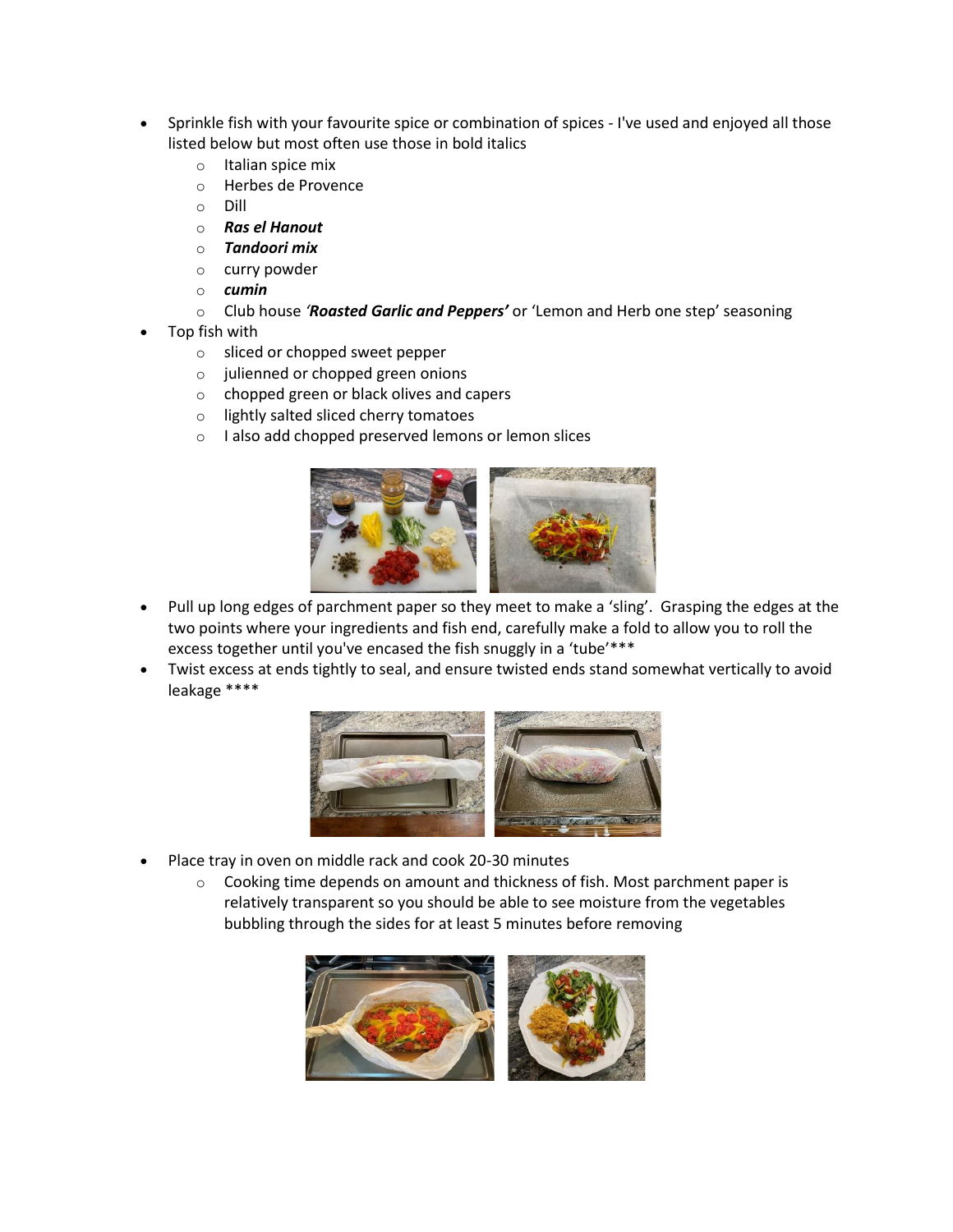- Sprinkle fish with your favourite spice or combination of spices I've used and enjoyed all those listed below but most often use those in bold italics
	- o Italian spice mix
	- o Herbes de Provence
	- o Dill
	- o *Ras el Hanout*
	- o *Tandoori mix*
	- o curry powder
	- o *cumin*
	- o Club house *'Roasted Garlic and Peppers'* or 'Lemon and Herb one step' seasoning
- Top fish with
	- o sliced or chopped sweet pepper
	- o julienned or chopped green onions
	- o chopped green or black olives and capers
	- o lightly salted sliced cherry tomatoes
	- o I also add chopped preserved lemons or lemon slices



- Pull up long edges of parchment paper so they meet to make a 'sling'. Grasping the edges at the two points where your ingredients and fish end, carefully make a fold to allow you to roll the excess together until you've encased the fish snuggly in a 'tube'\*\*\*
- Twist excess at ends tightly to seal, and ensure twisted ends stand somewhat vertically to avoid leakage \*\*\*\*



- Place tray in oven on middle rack and cook 20-30 minutes
	- $\circ$  Cooking time depends on amount and thickness of fish. Most parchment paper is relatively transparent so you should be able to see moisture from the vegetables bubbling through the sides for at least 5 minutes before removing